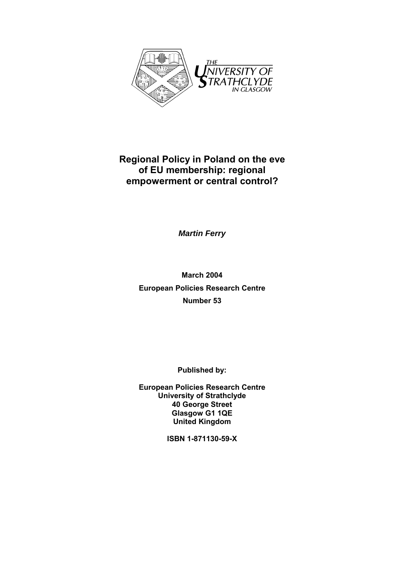

### **Regional Policy in Poland on the eve of EU membership: regional empowerment or central control?**

*Martin Ferry* 

**March 2004 European Policies Research Centre Number 53** 

**Published by:** 

**European Policies Research Centre University of Strathclyde 40 George Street Glasgow G1 1QE United Kingdom** 

**ISBN 1-871130-59-X**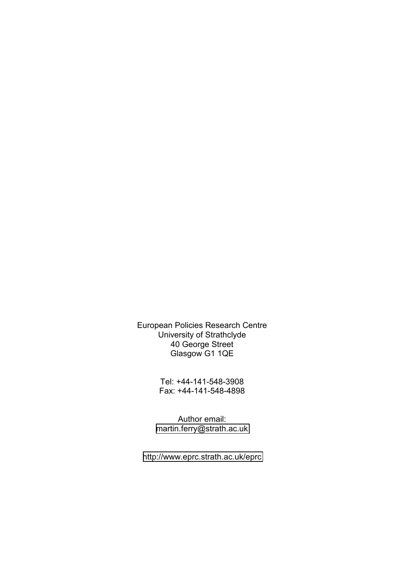European Policies Research Centre University of Strathclyde 40 George Street Glasgow G1 1QE

> Tel: +44-141-548-3908 Fax: +44-141-548-4898

Author email: [martin.ferry@strath.ac.uk](mailto:martin.ferry@strath.ac.uk) 

<http://www.eprc.strath.ac.uk/eprc>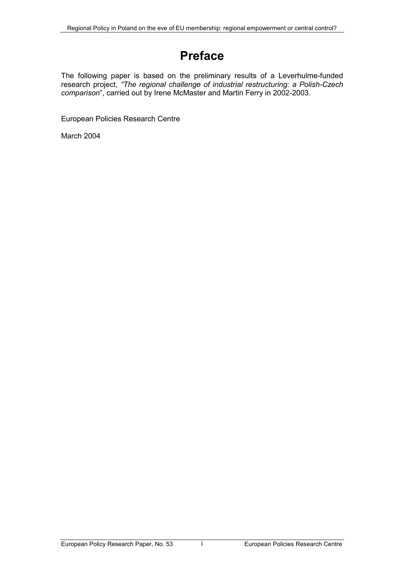# **Preface**

The following paper is based on the preliminary results of a Leverhulme-funded research project, *ìThe regional challenge of industrial restructuring: a Polish-Czech comparison*î, carried out by Irene McMaster and Martin Ferry in 2002-2003.

European Policies Research Centre

March 2004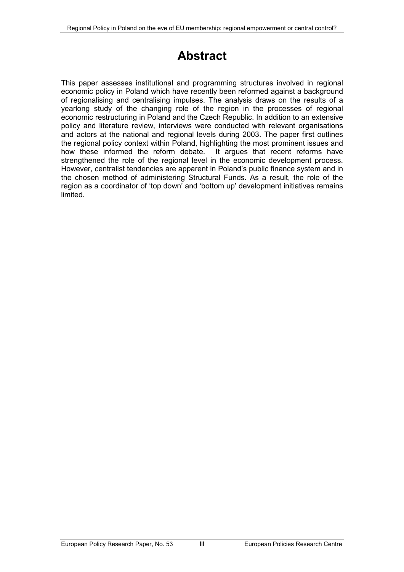# **Abstract**

This paper assesses institutional and programming structures involved in regional economic policy in Poland which have recently been reformed against a background of regionalising and centralising impulses. The analysis draws on the results of a yearlong study of the changing role of the region in the processes of regional economic restructuring in Poland and the Czech Republic. In addition to an extensive policy and literature review, interviews were conducted with relevant organisations and actors at the national and regional levels during 2003. The paper first outlines the regional policy context within Poland, highlighting the most prominent issues and how these informed the reform debate. It argues that recent reforms have strengthened the role of the regional level in the economic development process. However, centralist tendencies are apparent in Poland's public finance system and in the chosen method of administering Structural Funds. As a result, the role of the region as a coordinator of 'top down' and 'bottom up' development initiatives remains limited.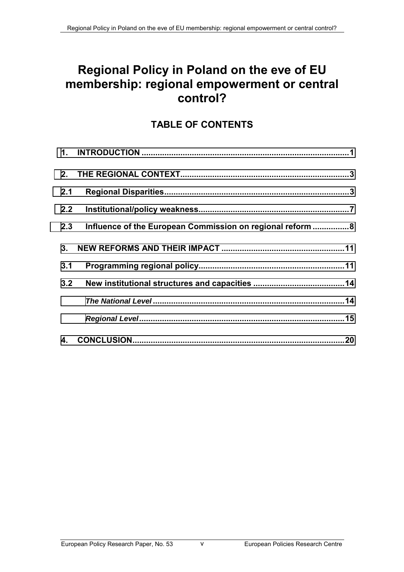## **Regional Policy in Poland on the eve of EU membership: regional empowerment or central control?**

## **TABLE OF CONTENTS**

| 2.1 |                                                            |
|-----|------------------------------------------------------------|
| 2.2 |                                                            |
| 2.3 | Influence of the European Commission on regional reform  8 |
| 3.  |                                                            |
| 3.1 |                                                            |
| 3.2 |                                                            |
|     |                                                            |
|     |                                                            |
|     |                                                            |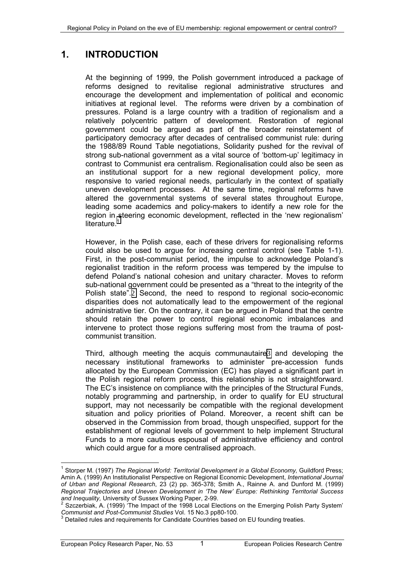### <span id="page-8-0"></span>**1. INTRODUCTION**

At the beginning of 1999, the Polish government introduced a package of reforms designed to revitalise regional administrative structures and encourage the development and implementation of political and economic initiatives at regional level. The reforms were driven by a combination of pressures. Poland is a large country with a tradition of regionalism and a relatively polycentric pattern of development. Restoration of regional government could be argued as part of the broader reinstatement of participatory democracy after decades of centralised communist rule: during the 1988/89 Round Table negotiations, Solidarity pushed for the revival of strong sub-national government as a vital source of 'bottom-up' legitimacy in contrast to Communist era centralism. Regionalisation could also be seen as an institutional support for a new regional development policy, more responsive to varied regional needs, particularly in the context of spatially uneven development processes. At the same time, regional reforms have altered the governmental systems of several states throughout Europe, leading some academics and policy-makers to identify a new role for the region in steering economic development, reflected in the 'new regionalism' literature.<sup>1</sup>

However, in the Polish case, each of these drivers for regionalising reforms could also be used to argue for increasing central control (see Table 1-1). First, in the post-communist period, the impulse to acknowledge Poland's regionalist tradition in the reform process was tempered by the impulse to defend Poland's national cohesion and unitary character. Moves to reform sub-national government could be presented as a "threat to the integrity of the Polish state".2 Second, the need to respond to regional socio-economic disparities does not automatically lead to the empowerment of the regional administrative tier. On the contrary, it can be argued in Poland that the centre should retain the power to control regional economic imbalances and intervene to protect those regions suffering most from the trauma of postcommunist transition.

Third, although meeting the acquis communautaire3 and developing the necessary institutional frameworks to administer pre-accession funds allocated by the European Commission (EC) has played a significant part in the Polish regional reform process, this relationship is not straightforward. The EC's insistence on compliance with the principles of the Structural Funds, notably programming and partnership, in order to qualify for EU structural support, may not necessarily be compatible with the regional development situation and policy priorities of Poland. Moreover, a recent shift can be observed in the Commission from broad, though unspecified, support for the establishment of regional levels of government to help implement Structural Funds to a more cautious espousal of administrative efficiency and control which could argue for a more centralised approach.

<sup>&</sup>lt;sup>1</sup> Storper M. (1997) *The Regional World: Territorial Development in a Global Economy, Guildford Press;* Amin A. (1999) An Institutionalist Perspective on Regional Economic Development, *International Journal of Urban and Regional Research*, 23 (2) pp. 365-378; Smith A., Rainne A. and Dunford M. (1999) *Regional Trajectories and Uneven Development in ëThe Newí Europe: Rethinking Territorial Success*  and Inequality, University of Sussex Working Paper, 2-99.

Szczerbiak, A. (1999) The Impact of the 1998 Local Elections on the Emerging Polish Party System' Communist and Post-Communist Studies Vol. 15 No.3 pp80-100.

<sup>&</sup>lt;sup>3</sup> Detailed rules and requirements for Candidate Countries based on EU founding treaties.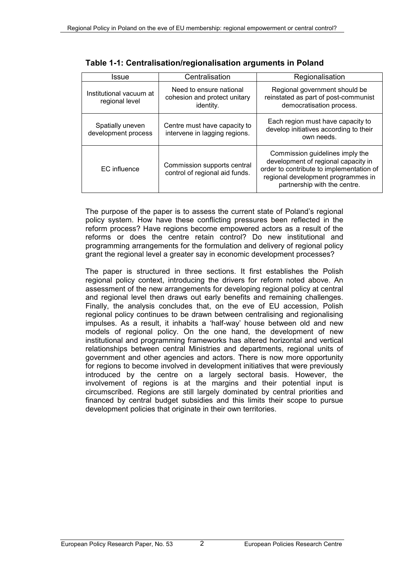| Issue                                     | Centralisation                                                       | Regionalisation                                                                                                                                                                          |
|-------------------------------------------|----------------------------------------------------------------------|------------------------------------------------------------------------------------------------------------------------------------------------------------------------------------------|
| Institutional vacuum at<br>regional level | Need to ensure national<br>cohesion and protect unitary<br>identity. | Regional government should be<br>reinstated as part of post-communist<br>democratisation process.                                                                                        |
| Spatially uneven<br>development process   | Centre must have capacity to<br>intervene in lagging regions.        | Each region must have capacity to<br>develop initiatives according to their<br>own needs.                                                                                                |
| EC influence                              | Commission supports central<br>control of regional aid funds.        | Commission guidelines imply the<br>development of regional capacity in<br>order to contribute to implementation of<br>regional development programmes in<br>partnership with the centre. |

The purpose of the paper is to assess the current state of Poland's regional policy system. How have these conflicting pressures been reflected in the reform process? Have regions become empowered actors as a result of the reforms or does the centre retain control? Do new institutional and programming arrangements for the formulation and delivery of regional policy grant the regional level a greater say in economic development processes?

The paper is structured in three sections. It first establishes the Polish regional policy context, introducing the drivers for reform noted above. An assessment of the new arrangements for developing regional policy at central and regional level then draws out early benefits and remaining challenges. Finally, the analysis concludes that, on the eve of EU accession, Polish regional policy continues to be drawn between centralising and regionalising impulses. As a result, it inhabits a 'half-way' house between old and new models of regional policy. On the one hand, the development of new institutional and programming frameworks has altered horizontal and vertical relationships between central Ministries and departments, regional units of government and other agencies and actors. There is now more opportunity for regions to become involved in development initiatives that were previously introduced by the centre on a largely sectoral basis. However, the involvement of regions is at the margins and their potential input is circumscribed. Regions are still largely dominated by central priorities and financed by central budget subsidies and this limits their scope to pursue development policies that originate in their own territories.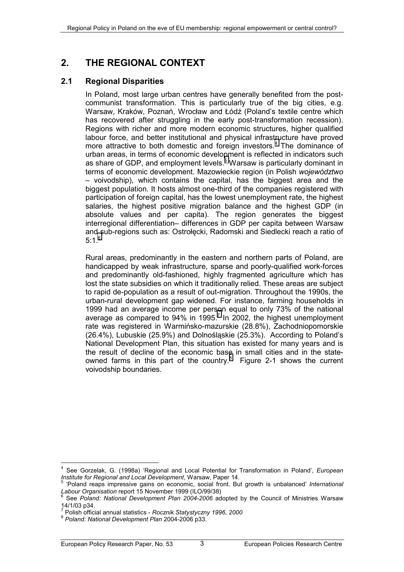## <span id="page-10-0"></span>**2. THE REGIONAL CONTEXT**

#### **2.1 Regional Disparities**

In Poland, most large urban centres have generally benefited from the postcommunist transformation. This is particularly true of the big cities, e.g. Warsaw, Kraków, Poznań, Wrocław and Łódź (Poland's textile centre which has recovered after struggling in the early post-transformation recession). Regions with richer and more modern economic structures, higher qualified labour force, and better institutional and physical infrastructure have proved more attractive to both domestic and foreign investors.<sup>4</sup> The dominance of urban areas, in terms of economic development is reflected in indicators such as share of GDP, and employment levels.<sup>5</sup> Warsaw is particularly dominant in terms of economic development. Mazowieckie region (in Polish *województwo*  $-$  voivodship), which contains the capital, has the biggest area and the biggest population. It hosts almost one-third of the companies registered with participation of foreign capital, has the lowest unemployment rate, the highest salaries, the highest positive migration balance and the highest GDP (in absolute values and per capita). The region generates the biggest interregional differentiation- differences in GDP per capita between Warsaw and sub-regions such as: Ostrołęcki, Radomski and Siedlecki reach a ratio of  $5:1<sup>6</sup>$ 

Rural areas, predominantly in the eastern and northern parts of Poland, are handicapped by weak infrastructure, sparse and poorly-qualified work-forces and predominantly old-fashioned, highly fragmented agriculture which has lost the state subsidies on which it traditionally relied. These areas are subject to rapid de-population as a result of out-migration. Throughout the 1990s, the urban-rural development gap widened. For instance, farming households in 1999 had an average income per person equal to only 73% of the national average as compared to  $94\%$  in 1995.<sup>7</sup> In 2002, the highest unemployment rate was registered in Warmińsko-mazurskie (28.8%), Zachodniopomorskie (26.4%), Lubuskie (25.9%) and Dolnośląskie (25.3%). According to Polandís National Development Plan, this situation has existed for many years and is the result of decline of the economic base in small cities and in the stateowned farms in this part of the country. $8$  Figure 2-1 shows the current voivodship boundaries.

<sup>4</sup> See Gorzelak, G. (1998a) 'Regional and Local Potential for Transformation in Poland', *European Institute for Regional and Local Development*, Warsaw, Paper 14.<br><sup>5</sup> 'Poland reaps impressive gains on economic, social front. But growth is unbalanced' *International* 

*Labour Organisation* report 15 November 1999 (ILO/99/38)<br><sup>6</sup> See *Poland: National Development Plan 2004-2006* adopted by the Council of Ministries Warsaw 14/1/03 p34.

Polish official annual statistics - Rocznik Statystyczny 1996. 2000

Polish official annual statistics - *Rocznik Statystyczny 1996, 2000* <sup>8</sup> *Poland: National Development Plan* 2004-2006 p33.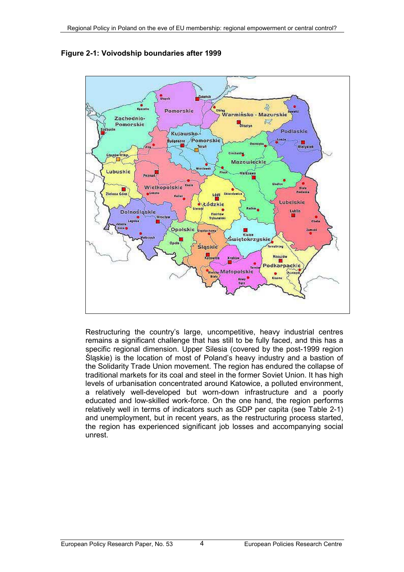

**Figure 2-1: Voivodship boundaries after 1999** 

Restructuring the country's large, uncompetitive, heavy industrial centres remains a significant challenge that has still to be fully faced, and this has a specific regional dimension. Upper Silesia (covered by the post-1999 region Śląskie) is the location of most of Poland's heavy industry and a bastion of the Solidarity Trade Union movement. The region has endured the collapse of traditional markets for its coal and steel in the former Soviet Union. It has high levels of urbanisation concentrated around Katowice, a polluted environment, a relatively well-developed but worn-down infrastructure and a poorly educated and low-skilled work-force. On the one hand, the region performs relatively well in terms of indicators such as GDP per capita (see Table 2-1) and unemployment, but in recent years, as the restructuring process started, the region has experienced significant job losses and accompanying social unrest.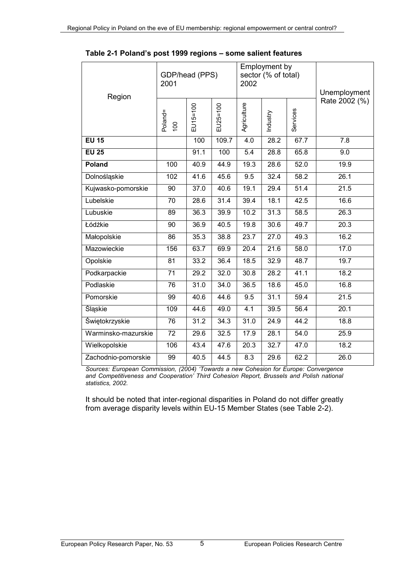| Region              | GDP/head (PPS)<br>2001      |                   | Employment by<br>sector (% of total)<br>2002 |                   | Unemployment |          |                  |
|---------------------|-----------------------------|-------------------|----------------------------------------------|-------------------|--------------|----------|------------------|
|                     | Poland=<br>$\overline{100}$ | EU15=100          | $EU25 = 100$                                 | Agriculture       | Industry     | Services | Rate 2002 (%)    |
| <b>EU 15</b>        |                             | 100               | 109.7                                        | $\overline{4.0}$  | 28.2         | 67.7     | $\overline{7.8}$ |
| <b>EU 25</b>        |                             | 91.1              | 100                                          | $\overline{5.4}$  | 28.8         | 65.8     | $\overline{9.0}$ |
| Poland              | 100                         | 40.9              | 44.9                                         | 19.3              | 28.6         | 52.0     | 19.9             |
| Dolnośląskie        | 102                         | 41.6              | 45.6                                         | 9.5               | 32.4         | 58.2     | 26.1             |
| Kujwasko-pomorskie  | 90                          | 37.0              | 40.6                                         | 19.1              | 29.4         | 51.4     | 21.5             |
| Lubelskie           | 70                          | 28.6              | 31.4                                         | 39.4              | 18.1         | 42.5     | 16.6             |
| Lubuskie            | 89                          | 36.3              | 39.9                                         | 10.2              | 31.3         | 58.5     | 26.3             |
| Łódżkie             | 90                          | 36.9              | 40.5                                         | 19.8              | 30.6         | 49.7     | 20.3             |
| Małopolskie         | 86                          | 35.3              | 38.8                                         | 23.7              | 27.0         | 49.3     | 16.2             |
| Mazowieckie         | 156                         | 63.7              | 69.9                                         | 20.4              | 21.6         | 58.0     | 17.0             |
| Opolskie            | 81                          | 33.2              | 36.4                                         | 18.5              | 32.9         | 48.7     | 19.7             |
| Podkarpackie        | 71                          | 29.2              | 32.0                                         | 30.8              | 28.2         | 41.1     | 18.2             |
| Podlaskie           | 76                          | 31.0              | 34.0                                         | 36.5              | 18.6         | 45.0     | 16.8             |
| Pomorskie           | 99                          | 40.6              | 44.6                                         | 9.5               | 31.1         | 59.4     | 21.5             |
| Śląskie             | 109                         | 44.6              | 49.0                                         | $\overline{4.1}$  | 39.5         | 56.4     | 20.1             |
| Świętokrzyskie      | $\overline{76}$             | $\overline{31.2}$ | 34.3                                         | $\overline{31.0}$ | 24.9         | 44.2     | 18.8             |
| Warminsko-mazurskie | $\overline{72}$             | 29.6              | 32.5                                         | 17.9              | 28.1         | 54.0     | 25.9             |
| Wielkopolskie       | 106                         | 43.4              | 47.6                                         | 20.3              | 32.7         | 47.0     | 18.2             |
| Zachodnio-pomorskie | 99                          | 40.5              | 44.5                                         | 8.3               | 29.6         | 62.2     | 26.0             |

#### Table 2-1 Poland's post 1999 regions - some salient features

*Sources: European Commission, (2004) ëTowards a new Cohesion for Europe: Convergence and Competitiveness and Cooperationí Third Cohesion Report, Brussels and Polish national statistics, 2002.* 

It should be noted that inter-regional disparities in Poland do not differ greatly from average disparity levels within EU-15 Member States (see Table 2-2).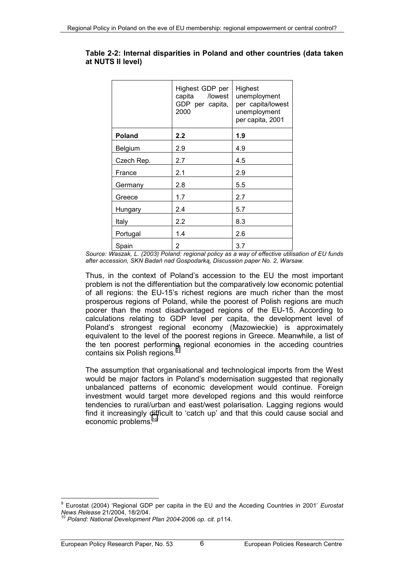|               | Highest GDP per<br>capita /lowest<br>GDP per capita,<br>2000 | Highest<br>unemployment<br>per capita/lowest<br>unemployment<br>per capita, 2001 |
|---------------|--------------------------------------------------------------|----------------------------------------------------------------------------------|
| <b>Poland</b> | $2.2\phantom{0}$                                             | 1.9                                                                              |
| Belgium       | 2.9                                                          | 4.9                                                                              |
| Czech Rep.    | 2.7                                                          | 4.5                                                                              |
| France        | 2.1                                                          | 2.9                                                                              |
| Germany       | 2.8                                                          | 5.5                                                                              |
| Greece        | 1.7                                                          | 2.7                                                                              |
| Hungary       | 2.4                                                          | 5.7                                                                              |
| Italy         | 2.2                                                          | 8.3                                                                              |
| Portugal      | 1.4                                                          | 2.6                                                                              |
| Spain         | 2                                                            | 3.7                                                                              |

#### **Table 2-2: Internal disparities in Poland and other countries (data taken at NUTS II level)**

*Source: Waszak, L. (2003) Poland: regional policy as a way of effective utilisation of EU funds after accession, SKN Badań nad Gospodarką, Discussion paper No. 2, Warsaw.* 

Thus, in the context of Poland's accession to the EU the most important problem is not the differentiation but the comparatively low economic potential of all regions: the EU-15ís richest regions are much richer than the most prosperous regions of Poland, while the poorest of Polish regions are much poorer than the most disadvantaged regions of the EU-15. According to calculations relating to GDP level per capita, the development level of Poland's strongest regional economy (Mazowieckie) is approximately equivalent to the level of the poorest regions in Greece. Meanwhile, a list of the ten poorest performing regional economies in the acceding countries contains six Polish regions.<sup>9</sup>

The assumption that organisational and technological imports from the West would be major factors in Poland's modernisation suggested that regionally unbalanced patterns of economic development would continue. Foreign investment would target more developed regions and this would reinforce tendencies to rural/urban and east/west polarisation. Lagging regions would find it increasingly difficult to 'catch up' and that this could cause social and economic problems.10

<sup>&</sup>lt;sup>9</sup> Eurostat (2004) 'Regional GDP per capita in the EU and the Acceding Countries in 2001' Eurostat *News Release* 21/2004, 18/2/04. 10 *Poland: National Development Plan 2004-*2006 *op. cit.* p114.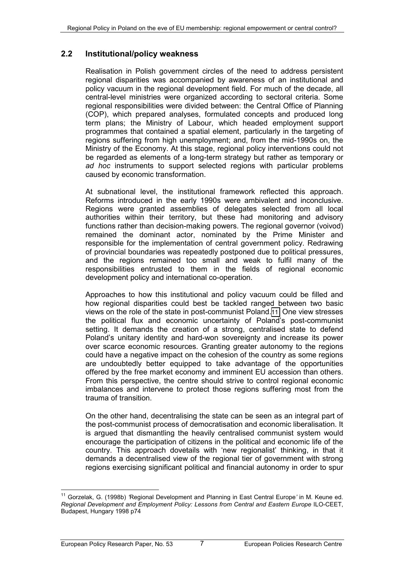#### <span id="page-14-0"></span>**2.2 Institutional/policy weakness**

Realisation in Polish government circles of the need to address persistent regional disparities was accompanied by awareness of an institutional and policy vacuum in the regional development field. For much of the decade, all central-level ministries were organized according to sectoral criteria. Some regional responsibilities were divided between: the Central Office of Planning (COP), which prepared analyses, formulated concepts and produced long term plans; the Ministry of Labour, which headed employment support programmes that contained a spatial element, particularly in the targeting of regions suffering from high unemployment; and, from the mid-1990s on, the Ministry of the Economy. At this stage, regional policy interventions could not be regarded as elements of a long-term strategy but rather as temporary or *ad hoc* instruments to support selected regions with particular problems caused by economic transformation.

At subnational level, the institutional framework reflected this approach. Reforms introduced in the early 1990s were ambivalent and inconclusive. Regions were granted assemblies of delegates selected from all local authorities within their territory, but these had monitoring and advisory functions rather than decision-making powers. The regional governor (voivod) remained the dominant actor, nominated by the Prime Minister and responsible for the implementation of central government policy. Redrawing of provincial boundaries was repeatedly postponed due to political pressures, and the regions remained too small and weak to fulfil many of the responsibilities entrusted to them in the fields of regional economic development policy and international co-operation.

Approaches to how this institutional and policy vacuum could be filled and how regional disparities could best be tackled ranged between two basic views on the role of the state in post-communist Poland.11 One view stresses the political flux and economic uncertainty of Poland's post-communist setting. It demands the creation of a strong, centralised state to defend Poland's unitary identity and hard-won sovereignty and increase its power over scarce economic resources. Granting greater autonomy to the regions could have a negative impact on the cohesion of the country as some regions are undoubtedly better equipped to take advantage of the opportunities offered by the free market economy and imminent EU accession than others. From this perspective, the centre should strive to control regional economic imbalances and intervene to protect those regions suffering most from the trauma of transition.

On the other hand, decentralising the state can be seen as an integral part of the post-communist process of democratisation and economic liberalisation. It is argued that dismantling the heavily centralised communist system would encourage the participation of citizens in the political and economic life of the country. This approach dovetails with 'new regionalist' thinking, in that it demands a decentralised view of the regional tier of government with strong regions exercising significant political and financial autonomy in order to spur

<sup>&</sup>lt;sup>11</sup> Gorzelak, G. (1998b) 'Regional Development and Planning in East Central Europe' in M. Keune ed. *Regional Development and Employment Policy: Lessons from Central and Eastern Europe* ILO-CEET, Budapest, Hungary 1998 p74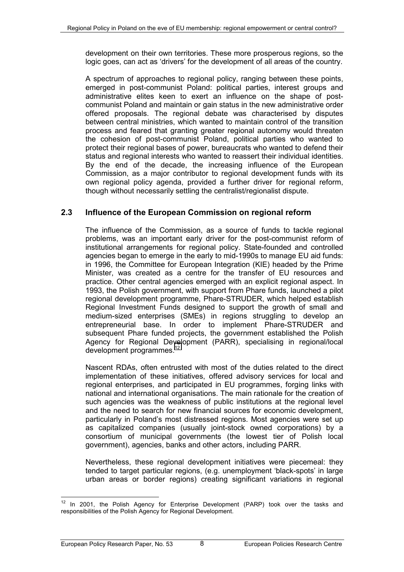<span id="page-15-0"></span>development on their own territories. These more prosperous regions, so the logic goes, can act as 'drivers' for the development of all areas of the country.

A spectrum of approaches to regional policy, ranging between these points, emerged in post-communist Poland: political parties, interest groups and administrative elites keen to exert an influence on the shape of postcommunist Poland and maintain or gain status in the new administrative order offered proposals. The regional debate was characterised by disputes between central ministries, which wanted to maintain control of the transition process and feared that granting greater regional autonomy would threaten the cohesion of post-communist Poland, political parties who wanted to protect their regional bases of power, bureaucrats who wanted to defend their status and regional interests who wanted to reassert their individual identities. By the end of the decade, the increasing influence of the European Commission, as a major contributor to regional development funds with its own regional policy agenda, provided a further driver for regional reform, though without necessarily settling the centralist/regionalist dispute.

#### **2.3 Influence of the European Commission on regional reform**

The influence of the Commission, as a source of funds to tackle regional problems, was an important early driver for the post-communist reform of institutional arrangements for regional policy. State-founded and controlled agencies began to emerge in the early to mid-1990s to manage EU aid funds: in 1996, the Committee for European Integration (KIE) headed by the Prime Minister, was created as a centre for the transfer of EU resources and practice. Other central agencies emerged with an explicit regional aspect. In 1993, the Polish government, with support from Phare funds, launched a pilot regional development programme, Phare-STRUDER, which helped establish Regional Investment Funds designed to support the growth of small and medium-sized enterprises (SMEs) in regions struggling to develop an entrepreneurial base. In order to implement Phare-STRUDER and subsequent Phare funded projects, the government established the Polish Agency for Regional Development (PARR), specialising in regional/local development programmes.<sup>12</sup>

Nascent RDAs, often entrusted with most of the duties related to the direct implementation of these initiatives, offered advisory services for local and regional enterprises, and participated in EU programmes, forging links with national and international organisations. The main rationale for the creation of such agencies was the weakness of public institutions at the regional level and the need to search for new financial sources for economic development, particularly in Polandís most distressed regions. Most agencies were set up as capitalized companies (usually joint-stock owned corporations) by a consortium of municipal governments (the lowest tier of Polish local government), agencies, banks and other actors, including PARR.

Nevertheless, these regional development initiatives were piecemeal: they tended to target particular regions, (e.g. unemployment 'black-spots' in large urban areas or border regions) creating significant variations in regional

 $12$  In 2001, the Polish Agency for Enterprise Development (PARP) took over the tasks and responsibilities of the Polish Agency for Regional Development.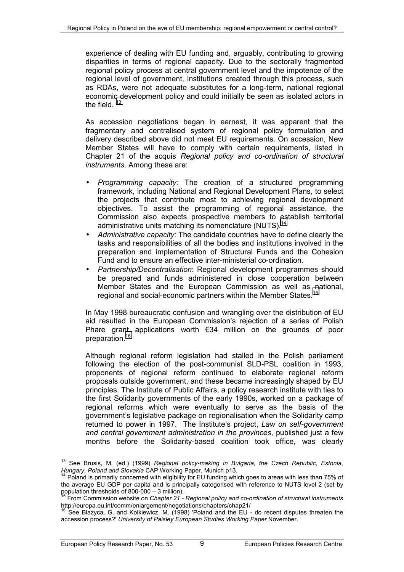experience of dealing with EU funding and, arguably, contributing to growing disparities in terms of regional capacity. Due to the sectorally fragmented regional policy process at central government level and the impotence of the regional level of government, institutions created through this process, such as RDAs, were not adequate substitutes for a long-term, national regional economic development policy and could initially be seen as isolated actors in the field.  $13$ 

As accession negotiations began in earnest, it was apparent that the fragmentary and centralised system of regional policy formulation and delivery described above did not meet EU requirements. On accession, New Member States will have to comply with certain requirements, listed in Chapter 21 of the acquis *Regional policy and co-ordination of structural instruments*. Among these are:

- *Programming capacity:* The creation of a structured programming framework, including National and Regional Development Plans, to select the projects that contribute most to achieving regional development objectives. To assist the programming of regional assistance, the Commission also expects prospective members to establish territorial administrative units matching its nomenclature (NUTS).<sup>14</sup>
- *Administrative capacity:* The candidate countries have to define clearly the tasks and responsibilities of all the bodies and institutions involved in the preparation and implementation of Structural Funds and the Cohesion Fund and to ensure an effective inter-ministerial co-ordination.
- *Partnership/Decentralisation*: Regional development programmes should be prepared and funds administered in close cooperation between Member States and the European Commission as well as national, regional and social-economic partners within the Member States.<sup>15</sup>

In May 1998 bureaucratic confusion and wrangling over the distribution of EU aid resulted in the European Commission's rejection of a series of Polish Phare grant applications worth €34 million on the grounds of poor preparation.16

Although regional reform legislation had stalled in the Polish parliament following the election of the post-communist SLD-PSL coalition in 1993, proponents of regional reform continued to elaborate regional reform proposals outside government, and these became increasingly shaped by EU principles. The Institute of Public Affairs, a policy research institute with ties to the first Solidarity governments of the early 1990s, worked on a package of regional reforms which were eventually to serve as the basis of the government's legislative package on regionalisation when the Solidarity camp returned to power in 1997. The Instituteís project, *Law on self-government and central government administration in the provinces*, published just a few months before the Solidarity-based coalition took office, was clearly

<sup>&</sup>lt;sup>13</sup> See Brusis, M. (ed.) (1999) *Regional policy-making in Bulgaria, the Czech Republic, Estonia, Hungary, Poland and Slovakia CAP Working Paper, Munich p13.* 

Poland is primarily concerned with eligibility for EU funding which goes to areas with less than 75% of the average EU GDP per capita and is principally categorised with reference to NUTS level 2 (set by population thresholds of 800-000  $-$  3 million).

<sup>15</sup> From Commission website on *Chapter 21 - Regional policy and co-ordination of structural instruments* http://europa.eu.int/comm/enlargement/negotiations/chapters/chap21/

<sup>16</sup> See Blazyca, G. and Kolkiewicz, M. (1998) 'Poland and the EU - do recent disputes threaten the accession process?' *University of Paisley European Studies Working Paper* November.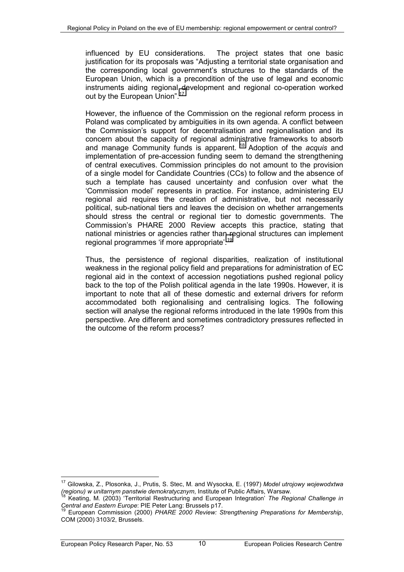influenced by EU considerations. The project states that one basic justification for its proposals was "Adjusting a territorial state organisation and the corresponding local government's structures to the standards of the European Union, which is a precondition of the use of legal and economic instruments aiding regional development and regional co-operation worked out by the European Union".<sup>17</sup>

However, the influence of the Commission on the regional reform process in Poland was complicated by ambiguities in its own agenda. A conflict between the Commission's support for decentralisation and regionalisation and its concern about the capacity of regional administrative frameworks to absorb and manage Community funds is apparent. 18 Adoption of the *acquis* and implementation of pre-accession funding seem to demand the strengthening of central executives. Commission principles do not amount to the provision of a single model for Candidate Countries (CCs) to follow and the absence of such a template has caused uncertainty and confusion over what the ëCommission modelí represents in practice. For instance, administering EU regional aid requires the creation of administrative, but not necessarily political, sub-national tiers and leaves the decision on whether arrangements should stress the central or regional tier to domestic governments. The Commissionís PHARE 2000 Review accepts this practice, stating that national ministries or agencies rather than regional structures can implement regional programmes 'if more appropriate'.<sup>19</sup>

Thus, the persistence of regional disparities, realization of institutional weakness in the regional policy field and preparations for administration of EC regional aid in the context of accession negotiations pushed regional policy back to the top of the Polish political agenda in the late 1990s. However, it is important to note that all of these domestic and external drivers for reform accommodated both regionalising and centralising logics. The following section will analyse the regional reforms introduced in the late 1990s from this perspective. Are different and sometimes contradictory pressures reflected in the outcome of the reform process?

 $\overline{a}$ 17 Gilowska, Z., Plosonka, J., Prutis, S. Stec, M. and Wysocka*,* E. (1997) *Model utrojowy wojewodxtwa* 

*<sup>(</sup>regionu) w unitarnym panstwie demokratycznym*, Institute of Public Affairs, Warsaw.<br><sup>18</sup> Keating, M. (2003) 'Territorial Restructuring and European Integration' *The Regional Challenge in Central and Eastern Europe: PI* 

*Central and Eastern Europe*: PIE Peter Lang: Brussels p17. 19 European Commission (2000) *PHARE 2000 Review: Strengthening Preparations for Membership*, COM (2000) 3103/2, Brussels.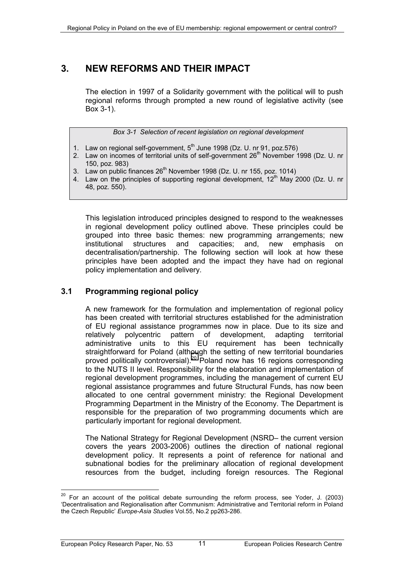## <span id="page-18-0"></span>**3. NEW REFORMS AND THEIR IMPACT**

The election in 1997 of a Solidarity government with the political will to push regional reforms through prompted a new round of legislative activity (see Box 3-1).

*Box 3-1 Selection of recent legislation on regional development* 

- 1. Law on regional self-government,  $5<sup>th</sup>$  June 1998 (Dz. U. nr 91, poz. 576)
- 2. Law on incomes of territorial units of self-government 26<sup>th</sup> November 1998 (Dz. U. nr 150, poz. 983)
- 3. Law on public finances  $26<sup>th</sup>$  November 1998 (Dz. U. nr 155, poz. 1014)
- 4. Law on the principles of supporting regional development, 12<sup>th</sup> May 2000 (Dz. U. nr 48, poz. 550).

This legislation introduced principles designed to respond to the weaknesses in regional development policy outlined above. These principles could be grouped into three basic themes: new programming arrangements; new institutional structures and capacities; and, new emphasis on decentralisation/partnership. The following section will look at how these principles have been adopted and the impact they have had on regional policy implementation and delivery.

#### **3.1 Programming regional policy**

A new framework for the formulation and implementation of regional policy has been created with territorial structures established for the administration of EU regional assistance programmes now in place. Due to its size and relatively polycentric pattern of development, adapting territorial administrative units to this EU requirement has been technically straightforward for Poland (although the setting of new territorial boundaries proved politically controversial).20 Poland now has 16 regions corresponding to the NUTS II level. Responsibility for the elaboration and implementation of regional development programmes, including the management of current EU regional assistance programmes and future Structural Funds, has now been allocated to one central government ministry: the Regional Development Programming Department in the Ministry of the Economy. The Department is responsible for the preparation of two programming documents which are particularly important for regional development.

The National Strategy for Regional Development (NSRD– the current version covers the years 2003-2006) outlines the direction of national regional development policy. It represents a point of reference for national and subnational bodies for the preliminary allocation of regional development resources from the budget, including foreign resources. The Regional

 $20$  For an account of the political debate surrounding the reform process, see Yoder, J. (2003) ëDecentralisation and Regionalisation after Communism: Administrative and Territorial reform in Poland the Czech Republicí *Europe-Asia Studies* Vol.55, No.2 pp263-286.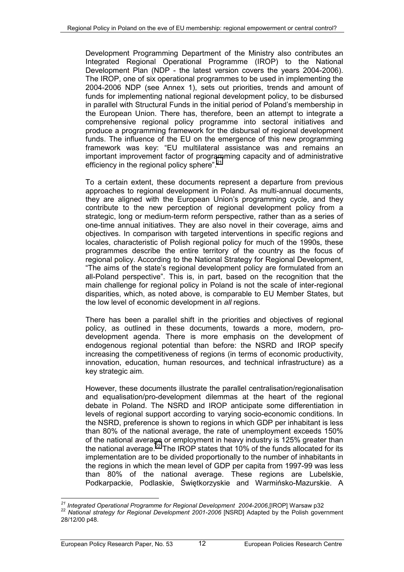Development Programming Department of the Ministry also contributes an Integrated Regional Operational Programme (IROP) to the National Development Plan (NDP - the latest version covers the years 2004-2006). The IROP, one of six operational programmes to be used in implementing the 2004-2006 NDP (see Annex 1), sets out priorities, trends and amount of funds for implementing national regional development policy, to be disbursed in parallel with Structural Funds in the initial period of Poland's membership in the European Union. There has, therefore, been an attempt to integrate a comprehensive regional policy programme into sectoral initiatives and produce a programming framework for the disbursal of regional development funds. The influence of the EU on the emergence of this new programming framework was key: "EU multilateral assistance was and remains an important improvement factor of programming capacity and of administrative efficiency in the regional policy sphere<sup>".21</sup>

To a certain extent, these documents represent a departure from previous approaches to regional development in Poland. As multi-annual documents, they are aligned with the European Union's programming cycle, and they contribute to the new perception of regional development policy from a strategic, long or medium-term reform perspective, rather than as a series of one-time annual initiatives. They are also novel in their coverage, aims and objectives. In comparison with targeted interventions in specific regions and locales, characteristic of Polish regional policy for much of the 1990s, these programmes describe the entire territory of the country as the focus of regional policy. According to the National Strategy for Regional Development, ìThe aims of the stateís regional development policy are formulated from an all-Poland perspectiveî. This is, in part, based on the recognition that the main challenge for regional policy in Poland is not the scale of inter-regional disparities, which, as noted above, is comparable to EU Member States, but the low level of economic development in *all* regions.

There has been a parallel shift in the priorities and objectives of regional policy, as outlined in these documents, towards a more, modern, prodevelopment agenda. There is more emphasis on the development of endogenous regional potential than before: the NSRD and IROP specify increasing the competitiveness of regions (in terms of economic productivity, innovation, education, human resources, and technical infrastructure) as a key strategic aim.

However, these documents illustrate the parallel centralisation/regionalisation and equalisation/pro-development dilemmas at the heart of the regional debate in Poland. The NSRD and IROP anticipate some differentiation in levels of regional support according to varying socio-economic conditions. In the NSRD, preference is shown to regions in which GDP per inhabitant is less than 80% of the national average, the rate of unemployment exceeds 150% of the national average or employment in heavy industry is 125% greater than the national average. $22$  The IROP states that 10% of the funds allocated for its implementation are to be divided proportionally to the number of inhabitants in the regions in which the mean level of GDP per capita from 1997-99 was less than 80% of the national average. These regions are Lubelskie, Podkarpackie, Podlaskie, Świętkorzyskie and Warmińsko-Mazurskie. A

<sup>&</sup>lt;sup>21</sup> Integrated Operational Programme for Regional Development 2004-2006,[IROP] Warsaw p32 <sup>22</sup> National strategy for Regional Development 2001-2006 [NSRD] Adapted by the Polish government 28/12/00 p48.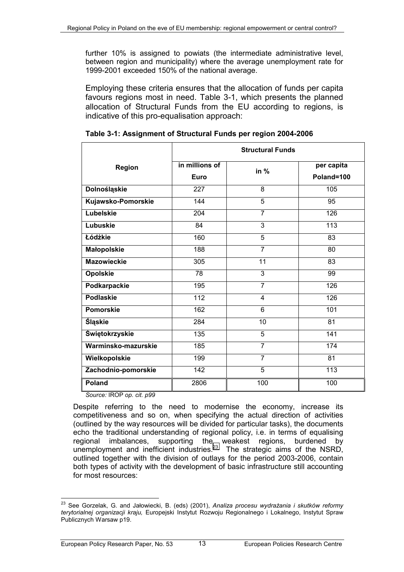further 10% is assigned to powiats (the intermediate administrative level, between region and municipality) where the average unemployment rate for 1999-2001 exceeded 150% of the national average.

Employing these criteria ensures that the allocation of funds per capita favours regions most in need. Table 3-1, which presents the planned allocation of Structural Funds from the EU according to regions, is indicative of this pro-equalisation approach:

|                     | <b>Structural Funds</b> |                 |                          |  |  |
|---------------------|-------------------------|-----------------|--------------------------|--|--|
| Region              | in millions of<br>Euro  | in $%$          | per capita<br>Poland=100 |  |  |
| <b>Dolnośląskie</b> | 227                     | 8               | 105                      |  |  |
| Kujawsko-Pomorskie  | 144                     | $\overline{5}$  | 95                       |  |  |
| <b>Lubelskie</b>    | 204                     | $\overline{7}$  | 126                      |  |  |
| Lubuskie            | 84                      | 3               | 113                      |  |  |
| Łódżkie             | 160                     | $\overline{5}$  | 83                       |  |  |
| <b>Małopolskie</b>  | 188                     | $\overline{7}$  | 80                       |  |  |
| <b>Mazowieckie</b>  | 305                     | 11              | 83                       |  |  |
| <b>Opolskie</b>     | 78                      | 3               | 99                       |  |  |
| Podkarpackie        | 195                     | $\overline{7}$  | 126                      |  |  |
| <b>Podlaskie</b>    | 112                     | 4               | 126                      |  |  |
| <b>Pomorskie</b>    | 162                     | 6               | 101                      |  |  |
| <b>Śląskie</b>      | 284                     | $\overline{10}$ | $\overline{81}$          |  |  |
| Świętokrzyskie      | 135                     | 5               | 141                      |  |  |
| Warminsko-mazurskie | 185                     | $\overline{7}$  | 174                      |  |  |
| Wielkopolskie       | 199                     | $\overline{7}$  | 81                       |  |  |
| Zachodnio-pomorskie | 142                     | 5               | 113                      |  |  |
| Poland              | 2806                    | 100             | 100                      |  |  |

| Table 3-1: Assignment of Structural Funds per region 2004-2006 |  |
|----------------------------------------------------------------|--|
|                                                                |  |

*Source:* IROP *op. cit. p99* 

Despite referring to the need to modernise the economy, increase its competitiveness and so on, when specifying the actual direction of activities (outlined by the way resources will be divided for particular tasks), the documents echo the traditional understanding of regional policy, i.e. in terms of equalising regional imbalances, supporting the weakest regions, burdened by unemployment and inefficient industries.<sup>23</sup> The strategic aims of the NSRD, outlined together with the division of outlays for the period 2003-2006, contain both types of activity with the development of basic infrastructure still accounting for most resources:

<sup>23</sup> See Gorzelak, G. and Jałowiecki, B. (eds) (2001), *Analiza procesu wydrażania i skutkόw reformy terytorialnej organizacji kraju,* Europejski Instytut Rozwoju Regionalnego i Lokalnego, Instytut Spraw Publicznych Warsaw p19.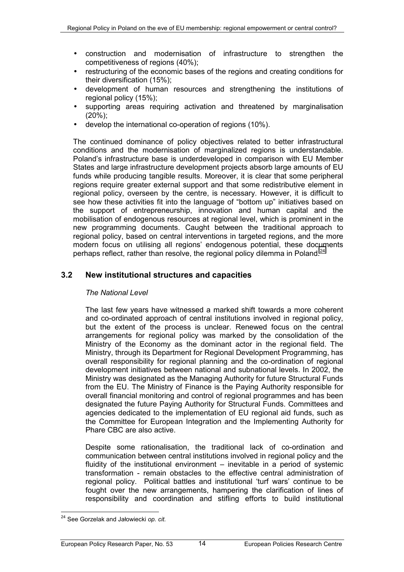- <span id="page-21-0"></span>• construction and modernisation of infrastructure to strengthen the competitiveness of regions (40%);
- restructuring of the economic bases of the regions and creating conditions for their diversification (15%);
- development of human resources and strengthening the institutions of regional policy (15%);
- supporting areas requiring activation and threatened by marginalisation (20%);
- develop the international co-operation of regions (10%).

The continued dominance of policy objectives related to better infrastructural conditions and the modernisation of marginalized regions is understandable. Poland's infrastructure base is underdeveloped in comparison with EU Member States and large infrastructure development projects absorb large amounts of EU funds while producing tangible results. Moreover, it is clear that some peripheral regions require greater external support and that some redistributive element in regional policy, overseen by the centre, is necessary. However, it is difficult to see how these activities fit into the language of "bottom up" initiatives based on the support of entrepreneurship, innovation and human capital and the mobilisation of endogenous resources at regional level, which is prominent in the new programming documents. Caught between the traditional approach to regional policy, based on central interventions in targeted regions, and the more modern focus on utilising all regions' endogenous potential, these documents perhaps reflect, rather than resolve, the regional policy dilemma in Poland.<sup>24</sup>

#### **3.2 New institutional structures and capacities**

#### *The National Level*

The last few years have witnessed a marked shift towards a more coherent and co-ordinated approach of central institutions involved in regional policy, but the extent of the process is unclear. Renewed focus on the central arrangements for regional policy was marked by the consolidation of the Ministry of the Economy as the dominant actor in the regional field. The Ministry, through its Department for Regional Development Programming, has overall responsibility for regional planning and the co-ordination of regional development initiatives between national and subnational levels. In 2002, the Ministry was designated as the Managing Authority for future Structural Funds from the EU. The Ministry of Finance is the Paying Authority responsible for overall financial monitoring and control of regional programmes and has been designated the future Paying Authority for Structural Funds. Committees and agencies dedicated to the implementation of EU regional aid funds, such as the Committee for European Integration and the Implementing Authority for Phare CBC are also active.

Despite some rationalisation, the traditional lack of co-ordination and communication between central institutions involved in regional policy and the fluidity of the institutional environment  $-$  inevitable in a period of systemic transformation - remain obstacles to the effective central administration of regional policy. Political battles and institutional 'turf wars' continue to be fought over the new arrangements, hampering the clarification of lines of responsibility and coordination and stifling efforts to build institutional

 $\overline{a}$ 24 See Gorzelak and Jałowiecki *op. cit.*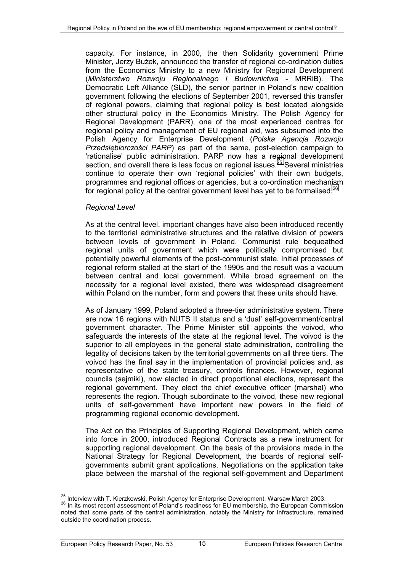<span id="page-22-0"></span>capacity. For instance, in 2000, the then Solidarity government Prime Minister, Jerzy Bużek, announced the transfer of regional co-ordination duties from the Economics Ministry to a new Ministry for Regional Development (*Ministerstwo Rozwoju Regionalnego i Budownictwa* - MRRiB). The Democratic Left Alliance (SLD), the senior partner in Poland's new coalition government following the elections of September 2001, reversed this transfer of regional powers, claiming that regional policy is best located alongside other structural policy in the Economics Ministry. The Polish Agency for Regional Development (PARR), one of the most experienced centres for regional policy and management of EU regional aid, was subsumed into the Polish Agency for Enterprise Development (*Polska Agencja Rozwoju Przedsiębiorczości PARP*) as part of the same, post-election campaign to 'rationalise' public administration. PARP now has a regional development section, and overall there is less focus on regional issues.<sup>25</sup> Several ministries continue to operate their own 'regional policies' with their own budgets, programmes and regional offices or agencies, but a co-ordination mechanism for regional policy at the central government level has yet to be formalised.<sup>26</sup>

#### *Regional Level*

As at the central level, important changes have also been introduced recently to the territorial administrative structures and the relative division of powers between levels of government in Poland. Communist rule bequeathed regional units of government which were politically compromised but potentially powerful elements of the post-communist state. Initial processes of regional reform stalled at the start of the 1990s and the result was a vacuum between central and local government. While broad agreement on the necessity for a regional level existed, there was widespread disagreement within Poland on the number, form and powers that these units should have.

As of January 1999, Poland adopted a three-tier administrative system. There are now 16 regions with NUTS II status and a 'dual' self-government/central government character. The Prime Minister still appoints the voivod, who safeguards the interests of the state at the regional level. The voivod is the superior to all employees in the general state administration, controlling the legality of decisions taken by the territorial governments on all three tiers. The voivod has the final say in the implementation of provincial policies and, as representative of the state treasury, controls finances. However, regional councils (sejmiki), now elected in direct proportional elections, represent the regional government. They elect the chief executive officer (marshal) who represents the region. Though subordinate to the voivod, these new regional units of self-government have important new powers in the field of programming regional economic development.

The Act on the Principles of Supporting Regional Development, which came into force in 2000, introduced Regional Contracts as a new instrument for supporting regional development. On the basis of the provisions made in the National Strategy for Regional Development, the boards of regional selfgovernments submit grant applications. Negotiations on the application take place between the marshal of the regional self-government and Department

<sup>&</sup>lt;sup>25</sup> Interview with T. Kierzkowski, Polish Agency for Enterprise Development, Warsaw March 2003.

<sup>&</sup>lt;sup>26</sup> In its most recent assessment of Poland's readiness for EU membership, the European Commission noted that some parts of the central administration, notably the Ministry for Infrastructure, remained outside the coordination process.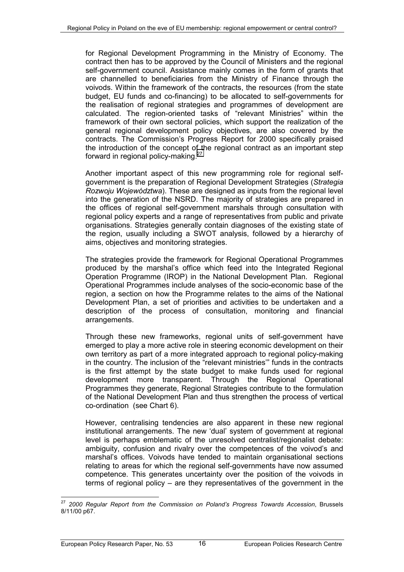for Regional Development Programming in the Ministry of Economy. The contract then has to be approved by the Council of Ministers and the regional self-government council. Assistance mainly comes in the form of grants that are channelled to beneficiaries from the Ministry of Finance through the voivods. Within the framework of the contracts, the resources (from the state budget, EU funds and co-financing) to be allocated to self-governments for the realisation of regional strategies and programmes of development are calculated. The region-oriented tasks of "relevant Ministries" within the framework of their own sectoral policies, which support the realization of the general regional development policy objectives, are also covered by the contracts. The Commission's Progress Report for 2000 specifically praised the introduction of the concept of the regional contract as an important step forward in regional policy-making.<sup>27</sup>

Another important aspect of this new programming role for regional selfgovernment is the preparation of Regional Development Strategies (*Strategia Rozwoju Województwa*). These are designed as inputs from the regional level into the generation of the NSRD. The majority of strategies are prepared in the offices of regional self-government marshals through consultation with regional policy experts and a range of representatives from public and private organisations. Strategies generally contain diagnoses of the existing state of the region, usually including a SWOT analysis, followed by a hierarchy of aims, objectives and monitoring strategies.

The strategies provide the framework for Regional Operational Programmes produced by the marshal's office which feed into the Integrated Regional Operation Programme (IROP) in the National Development Plan. Regional Operational Programmes include analyses of the socio-economic base of the region, a section on how the Programme relates to the aims of the National Development Plan, a set of priorities and activities to be undertaken and a description of the process of consultation, monitoring and financial arrangements.

Through these new frameworks, regional units of self-government have emerged to play a more active role in steering economic development on their own territory as part of a more integrated approach to regional policy-making in the country. The inclusion of the "relevant ministries" funds in the contracts is the first attempt by the state budget to make funds used for regional development more transparent. Through the Regional Operational Programmes they generate, Regional Strategies contribute to the formulation of the National Development Plan and thus strengthen the process of vertical co-ordination (see Chart 6).

However, centralising tendencies are also apparent in these new regional institutional arrangements. The new 'dual' system of government at regional level is perhaps emblematic of the unresolved centralist/regionalist debate: ambiguity, confusion and rivalry over the competences of the voivod's and marshal's offices. Voivods have tended to maintain organisational sections relating to areas for which the regional self-governments have now assumed competence. This generates uncertainty over the position of the voivods in terms of regional policy  $-$  are they representatives of the government in the

 $\overline{a}$ <sup>27</sup> *2000 Regular Report from the Commission on Polandís Progress Towards Accession*, Brussels 8/11/00 p67.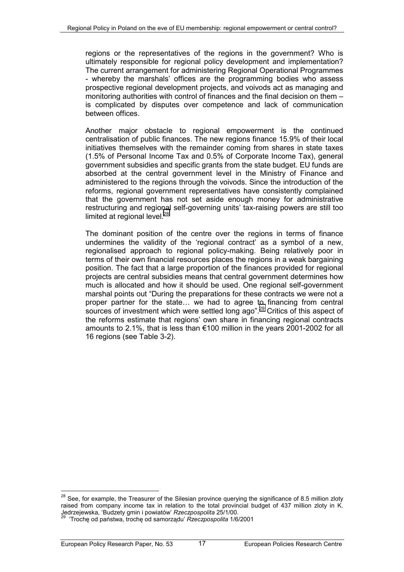regions or the representatives of the regions in the government? Who is ultimately responsible for regional policy development and implementation? The current arrangement for administering Regional Operational Programmes - whereby the marshals' offices are the programming bodies who assess prospective regional development projects, and voivods act as managing and monitoring authorities with control of finances and the final decision on them  $$ is complicated by disputes over competence and lack of communication between offices.

Another major obstacle to regional empowerment is the continued centralisation of public finances. The new regions finance 15.9% of their local initiatives themselves with the remainder coming from shares in state taxes (1.5% of Personal Income Tax and 0.5% of Corporate Income Tax), general government subsidies and specific grants from the state budget. EU funds are absorbed at the central government level in the Ministry of Finance and administered to the regions through the voivods. Since the introduction of the reforms, regional government representatives have consistently complained that the government has not set aside enough money for administrative restructuring and regional self-governing units' tax-raising powers are still too limited at regional level. $^{28}$ 

The dominant position of the centre over the regions in terms of finance undermines the validity of the 'regional contract' as a symbol of a new, regionalised approach to regional policy-making. Being relatively poor in terms of their own financial resources places the regions in a weak bargaining position. The fact that a large proportion of the finances provided for regional projects are central subsidies means that central government determines how much is allocated and how it should be used. One regional self-government marshal points out "During the preparations for these contracts we were not a proper partner for the state... we had to agree to financing from central sources of investment which were settled long ago".<sup>29</sup> Critics of this aspect of the reforms estimate that regions' own share in financing regional contracts amounts to 2.1%, that is less than €100 million in the years 2001-2002 for all 16 regions (see Table 3-2).

 $^{28}$  See, for example, the Treasurer of the Silesian province querying the significance of 8.5 million zloty raised from company income tax in relation to the total provincial budget of 437 million zloty in K. Jedrzejewska, ëBudzety gmin i powiatÛwí *Rzeczpospolita* 25/1/00. 29 ëTrochę od państwa, trochę od samorząduí *Rzeczpospolita* 1/6/2001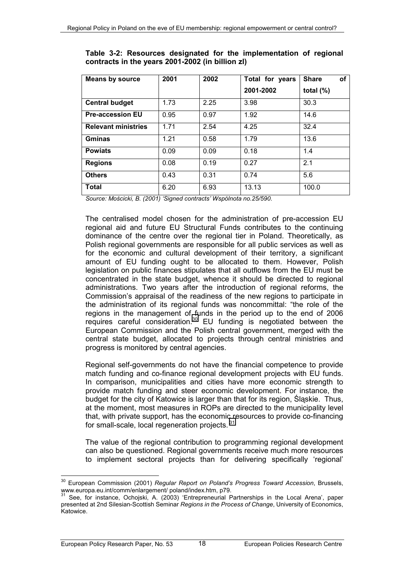| <b>Means by source</b>     | 2001 | 2002 | Total for years | <b>Share</b><br>of |
|----------------------------|------|------|-----------------|--------------------|
|                            |      |      | 2001-2002       | total $(\%)$       |
| <b>Central budget</b>      | 1.73 | 2.25 | 3.98            | 30.3               |
| <b>Pre-accession EU</b>    | 0.95 | 0.97 | 1.92            | 14.6               |
| <b>Relevant ministries</b> | 1.71 | 2.54 | 4.25            | 32.4               |
| Gminas                     | 1.21 | 0.58 | 1.79            | 13.6               |
| <b>Powiats</b>             | 0.09 | 0.09 | 0.18            | 1.4                |
| <b>Regions</b>             | 0.08 | 0.19 | 0.27            | 2.1                |
| <b>Others</b>              | 0.43 | 0.31 | 0.74            | 5.6                |
| <b>Total</b>               | 6.20 | 6.93 | 13.13           | 100.0              |

**Table 3-2: Resources designated for the implementation of regional contracts in the years 2001-2002 (in billion zl)** 

Source: Mościcki, B. (2001) 'Signed contracts' Wspólnota no.25/590.

The centralised model chosen for the administration of pre-accession EU regional aid and future EU Structural Funds contributes to the continuing dominance of the centre over the regional tier in Poland. Theoretically, as Polish regional governments are responsible for all public services as well as for the economic and cultural development of their territory, a significant amount of EU funding ought to be allocated to them. However, Polish legislation on public finances stipulates that all outflows from the EU must be concentrated in the state budget, whence it should be directed to regional administrations. Two years after the introduction of regional reforms, the Commission's appraisal of the readiness of the new regions to participate in the administration of its regional funds was noncommittal: "the role of the regions in the management of funds in the period up to the end of 2006 requires careful consideration. $30$  EU funding is negotiated between the European Commission and the Polish central government, merged with the central state budget, allocated to projects through central ministries and progress is monitored by central agencies.

Regional self-governments do not have the financial competence to provide match funding and co-finance regional development projects with EU funds. In comparison, municipalities and cities have more economic strength to provide match funding and steer economic development. For instance, the budget for the city of Katowice is larger than that for its region, Śląskie. Thus, at the moment, most measures in ROPs are directed to the municipality level that, with private support, has the economic resources to provide co-financing for small-scale, local regeneration projects.<sup>31</sup>

The value of the regional contribution to programming regional development can also be questioned. Regional governments receive much more resources to implement sectoral projects than for delivering specifically 'regional'

 30 European Commission (2001) *Regular Report on Polandís Progress Toward Accession*, Brussels, www.europa.eu.int/comm/enlargement/ poland/index.htm, p79.<br><sup>31</sup> See, for instance, Ochojski, A. (2003) 'Entrepreneurial Partnerships in the Local Arena', paper

presented at 2nd Silesian-Scottish Seminar *Regions in the Process of Change*, University of Economics, Katowice.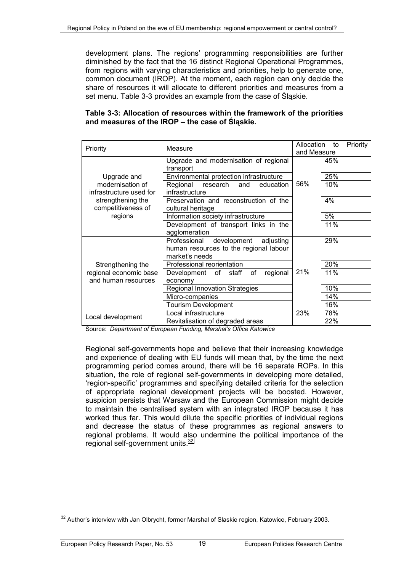development plans. The regions' programming responsibilities are further diminished by the fact that the 16 distinct Regional Operational Programmes, from regions with varying characteristics and priorities, help to generate one, common document (IROP). At the moment, each region can only decide the share of resources it will allocate to different priorities and measures from a set menu. Table 3-3 provides an example from the case of Śląskie.

#### **Table 3-3: Allocation of resources within the framework of the priorities and measures of the IROP – the case of Slaskie.**

| Priority                                    | Measure                                                     | Allocation<br>and Measure | Priority<br>to |
|---------------------------------------------|-------------------------------------------------------------|---------------------------|----------------|
|                                             | Upgrade and modernisation of regional<br>transport          |                           | 45%            |
| Upgrade and                                 | Environmental protection infrastructure                     |                           | 25%            |
| modernisation of<br>infrastructure used for | Regional research<br>and<br>education<br>infrastructure     | 56%                       | 10%            |
| strengthening the<br>competitiveness of     | Preservation and reconstruction of the<br>cultural heritage |                           | 4%             |
| regions                                     | Information society infrastructure                          |                           | 5%             |
|                                             | Development of transport links in the                       |                           | 11%            |
|                                             | agglomeration                                               |                           |                |
|                                             | Professional<br>development<br>adjusting                    |                           | 29%            |
|                                             | human resources to the regional labour                      |                           |                |
|                                             | market's needs                                              |                           |                |
| Strengthening the                           | Professional reorientation                                  |                           | 20%            |
| regional economic base                      | regional<br>of<br>Development of staff                      | 21%                       | 11%            |
| and human resources                         | economy                                                     |                           |                |
|                                             | <b>Regional Innovation Strategies</b>                       |                           | 10%            |
|                                             | Micro-companies                                             |                           | 14%            |
|                                             | <b>Tourism Development</b>                                  |                           | 16%            |
|                                             | Local infrastructure                                        | 23%                       | 78%            |
| Local development                           | Revitalisation of degraded areas                            |                           | 22%            |

Source: *Department of European Funding, Marshalís Office Katowice* 

Regional self-governments hope and believe that their increasing knowledge and experience of dealing with EU funds will mean that, by the time the next programming period comes around, there will be 16 separate ROPs. In this situation, the role of regional self-governments in developing more detailed, ëregion-specificí programmes and specifying detailed criteria for the selection of appropriate regional development projects will be boosted. However, suspicion persists that Warsaw and the European Commission might decide to maintain the centralised system with an integrated IROP because it has worked thus far. This would dilute the specific priorities of individual regions and decrease the status of these programmes as regional answers to regional problems. It would also undermine the political importance of the regional self-government units.32

 $\overline{a}$  $32$  Author's interview with Jan Olbrycht, former Marshal of Slaskie region, Katowice, February 2003.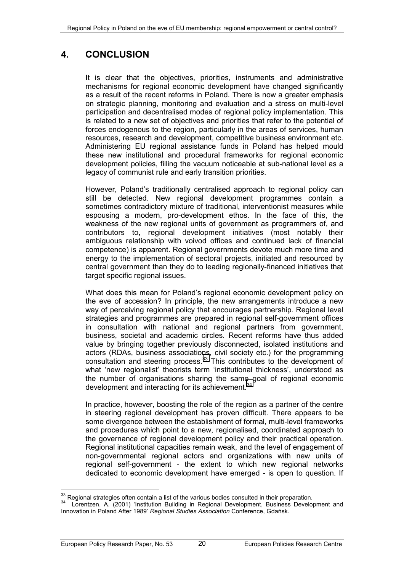## <span id="page-27-0"></span>**4. CONCLUSION**

It is clear that the objectives, priorities, instruments and administrative mechanisms for regional economic development have changed significantly as a result of the recent reforms in Poland. There is now a greater emphasis on strategic planning, monitoring and evaluation and a stress on multi-level participation and decentralised modes of regional policy implementation. This is related to a new set of objectives and priorities that refer to the potential of forces endogenous to the region, particularly in the areas of services, human resources, research and development, competitive business environment etc. Administering EU regional assistance funds in Poland has helped mould these new institutional and procedural frameworks for regional economic development policies, filling the vacuum noticeable at sub-national level as a legacy of communist rule and early transition priorities.

However, Poland's traditionally centralised approach to regional policy can still be detected. New regional development programmes contain a sometimes contradictory mixture of traditional, interventionist measures while espousing a modern, pro-development ethos. In the face of this, the weakness of the new regional units of government as programmers of, and contributors to, regional development initiatives (most notably their ambiguous relationship with voivod offices and continued lack of financial competence) is apparent. Regional governments devote much more time and energy to the implementation of sectoral projects, initiated and resourced by central government than they do to leading regionally-financed initiatives that target specific regional issues.

What does this mean for Poland's regional economic development policy on the eve of accession? In principle, the new arrangements introduce a new way of perceiving regional policy that encourages partnership. Regional level strategies and programmes are prepared in regional self-government offices in consultation with national and regional partners from government, business, societal and academic circles. Recent reforms have thus added value by bringing together previously disconnected, isolated institutions and actors (RDAs, business associations, civil society etc.) for the programming consultation and steering process.<sup>33</sup> This contributes to the development of what 'new regionalist' theorists term 'institutional thickness', understood as the number of organisations sharing the same goal of regional economic development and interacting for its achievement.<sup>34</sup>

In practice, however, boosting the role of the region as a partner of the centre in steering regional development has proven difficult. There appears to be some divergence between the establishment of formal, multi-level frameworks and procedures which point to a new, regionalised, coordinated approach to the governance of regional development policy and their practical operation. Regional institutional capacities remain weak, and the level of engagement of non-governmental regional actors and organizations with new units of regional self-government - the extent to which new regional networks dedicated to economic development have emerged - is open to question. If

<sup>&</sup>lt;sup>33</sup> Regional strategies often contain a list of the various bodies consulted in their preparation.

<sup>33</sup> Regional strategies often contain a list of the various bodies consulted in their preparation. 34 Lorentzen, A. (2001) ëInstitution Building in Regional Development, Business Development and Innovation in Poland After 1989í *Regional Studies Association* Conference, Gdańsk.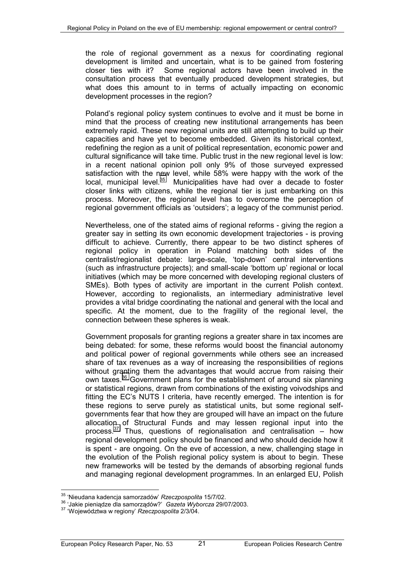the role of regional government as a nexus for coordinating regional development is limited and uncertain, what is to be gained from fostering closer ties with it? Some regional actors have been involved in the consultation process that eventually produced development strategies, but what does this amount to in terms of actually impacting on economic development processes in the region?

Poland's regional policy system continues to evolve and it must be borne in mind that the process of creating new institutional arrangements has been extremely rapid. These new regional units are still attempting to build up their capacities and have yet to become embedded. Given its historical context, redefining the region as a unit of political representation, economic power and cultural significance will take time. Public trust in the new regional level is low: in a recent national opinion poll only 9% of those surveyed expressed satisfaction with the new level, while 58% were happy with the work of the local, municipal level.<sup>35</sup> Municipalities have had over a decade to foster closer links with citizens, while the regional tier is just embarking on this process. Moreover, the regional level has to overcome the perception of regional government officials as 'outsiders'; a legacy of the communist period.

Nevertheless, one of the stated aims of regional reforms - giving the region a greater say in setting its own economic development trajectories - is proving difficult to achieve. Currently, there appear to be two distinct spheres of regional policy in operation in Poland matching both sides of the centralist/regionalist debate: large-scale, 'top-down' central interventions (such as infrastructure projects); and small-scale 'bottom up' regional or local initiatives (which may be more concerned with developing regional clusters of SMEs). Both types of activity are important in the current Polish context. However, according to regionalists, an intermediary administrative level provides a vital bridge coordinating the national and general with the local and specific. At the moment, due to the fragility of the regional level, the connection between these spheres is weak.

Government proposals for granting regions a greater share in tax incomes are being debated: for some, these reforms would boost the financial autonomy and political power of regional governments while others see an increased share of tax revenues as a way of increasing the responsibilities of regions without granting them the advantages that would accrue from raising their own taxes.<sup>36</sup> Government plans for the establishment of around six planning or statistical regions, drawn from combinations of the existing voivodships and fitting the EC's NUTS I criteria, have recently emerged. The intention is for these regions to serve purely as statistical units, but some regional selfgovernments fear that how they are grouped will have an impact on the future allocation of Structural Funds and may lessen regional input into the process.<sup>37</sup> Thus, questions of regionalisation and centralisation – how regional development policy should be financed and who should decide how it is spent - are ongoing. On the eve of accession, a new, challenging stage in the evolution of the Polish regional policy system is about to begin. These new frameworks will be tested by the demands of absorbing regional funds and managing regional development programmes. In an enlarged EU, Polish

<sup>&</sup>lt;sup>35</sup> 'Nieudana kadencja samorzadów' Rzeczpospolita 15/7/02.

<sup>36</sup> fueudana kadencja samorządów?*í Gazeta Wyborcza 29/07/2003.*<br><sup>36</sup> fueudana kadencja samorządów?*í Gazeta Wyborcza 29/07/2003.*<br><sup>37</sup> fWojewództwa w regiony*′ Rzeczpospolita 2/3/04.*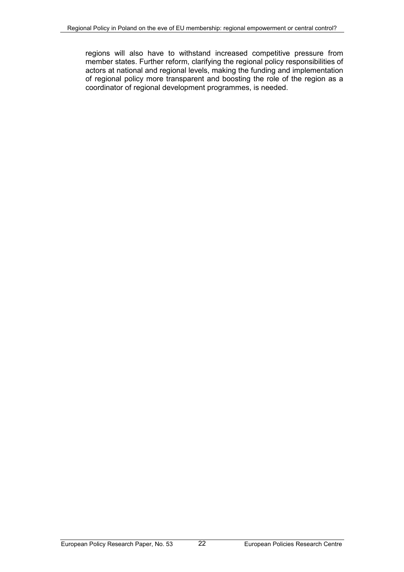regions will also have to withstand increased competitive pressure from member states. Further reform, clarifying the regional policy responsibilities of actors at national and regional levels, making the funding and implementation of regional policy more transparent and boosting the role of the region as a coordinator of regional development programmes, is needed.